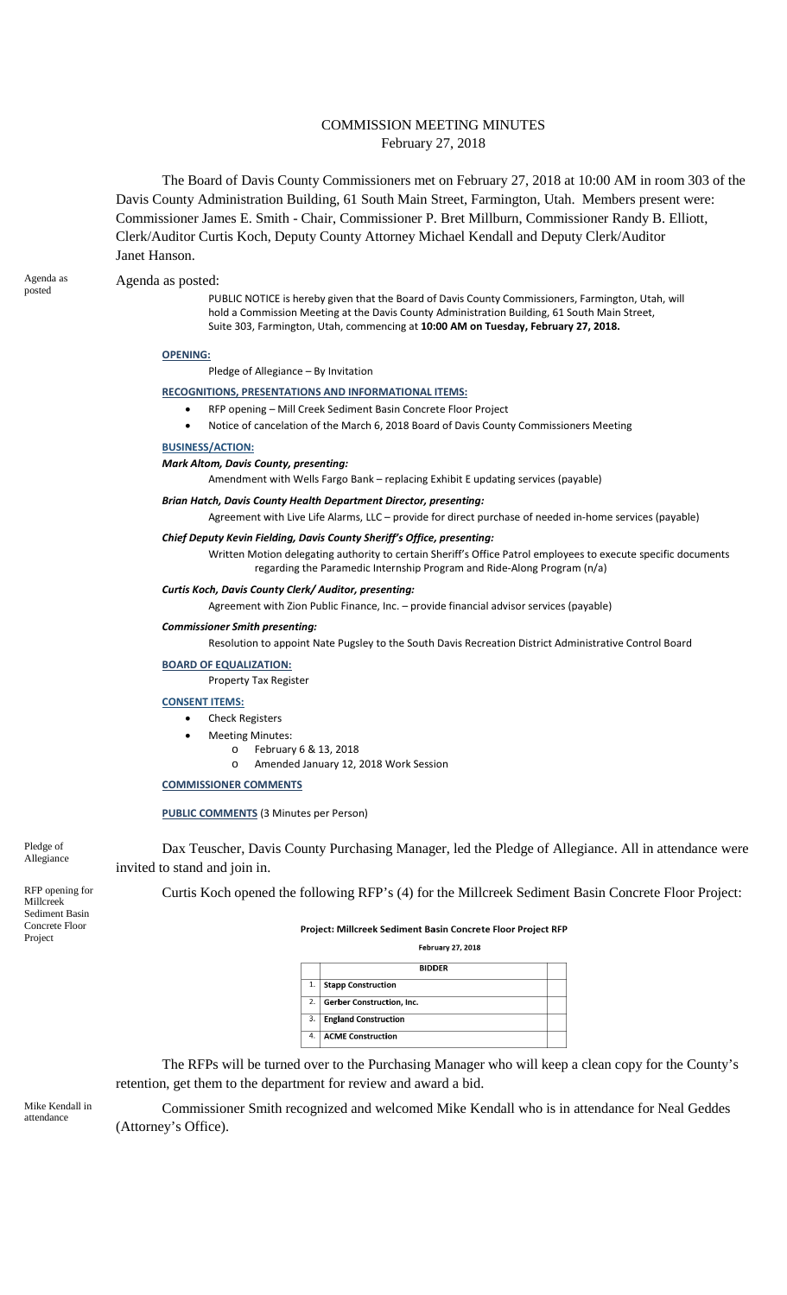# COMMISSION MEETING MINUTES February 27, 2018

The Board of Davis County Commissioners met on February 27, 2018 at 10:00 AM in room 303 of the Davis County Administration Building, 61 South Main Street, Farmington, Utah. Members present were: Commissioner James E. Smith - Chair, Commissioner P. Bret Millburn, Commissioner Randy B. Elliott, Clerk/Auditor Curtis Koch, Deputy County Attorney Michael Kendall and Deputy Clerk/Auditor Janet Hanson.

#### Agenda as Agenda as posted:<br>
posted as posted:

PUBLIC NOTICE is hereby given that the Board of Davis County Commissioners, Farmington, Utah, will hold a Commission Meeting at the Davis County Administration Building, 61 South Main Street, Suite 303, Farmington, Utah, commencing at **10:00 AM on Tuesday, February 27, 2018.**

### **OPENING:**

Pledge of Allegiance – By Invitation

### **RECOGNITIONS, PRESENTATIONS AND INFORMATIONAL ITEMS:**

- RFP opening Mill Creek Sediment Basin Concrete Floor Project
- Notice of cancelation of the March 6, 2018 Board of Davis County Commissioners Meeting

### **BUSINESS/ACTION:**

*Mark Altom, Davis County, presenting:*

Amendment with Wells Fargo Bank – replacing Exhibit E updating services (payable)

#### *Brian Hatch, Davis County Health Department Director, presenting:*

Agreement with Live Life Alarms, LLC – provide for direct purchase of needed in-home services (payable)

## *Chief Deputy Kevin Fielding, Davis County Sheriff's Office, presenting:*

Written Motion delegating authority to certain Sheriff's Office Patrol employees to execute specific documents regarding the Paramedic Internship Program and Ride-Along Program (n/a)

#### *Curtis Koch, Davis County Clerk/ Auditor, presenting:*

Agreement with Zion Public Finance, Inc. – provide financial advisor services (payable)

#### *Commissioner Smith presenting:*

Resolution to appoint Nate Pugsley to the South Davis Recreation District Administrative Control Board

#### **BOARD OF EQUALIZATION:**

Property Tax Register

### **CONSENT ITEMS:**

- Check Registers
- Meeting Minutes:
	- o February 6 & 13, 2018
		- o Amended January 12, 2018 Work Session

### **COMMISSIONER COMMENTS**

### **PUBLIC COMMENTS** (3 Minutes per Person)

Pledge of Allegiance

Dax Teuscher, Davis County Purchasing Manager, led the Pledge of Allegiance. All in attendance were invited to stand and join in.

Curtis Koch opened the following RFP's (4) for the Millcreek Sediment Basin Concrete Floor Project:

Millcreek Sediment Basin Concrete Floor Project

RFP opening for

#### Project: Millcreek Sediment Basin Concrete Floor Project RFP

**February 27, 2018** 

|    | <b>BIDDER</b>               |  |
|----|-----------------------------|--|
| 1. | <b>Stapp Construction</b>   |  |
| 2. | Gerber Construction, Inc.   |  |
| 3. | <b>England Construction</b> |  |
| 4. | <b>ACME Construction</b>    |  |

The RFPs will be turned over to the Purchasing Manager who will keep a clean copy for the County's retention, get them to the department for review and award a bid.

Mike Kendall in attendance

Commissioner Smith recognized and welcomed Mike Kendall who is in attendance for Neal Geddes (Attorney's Office).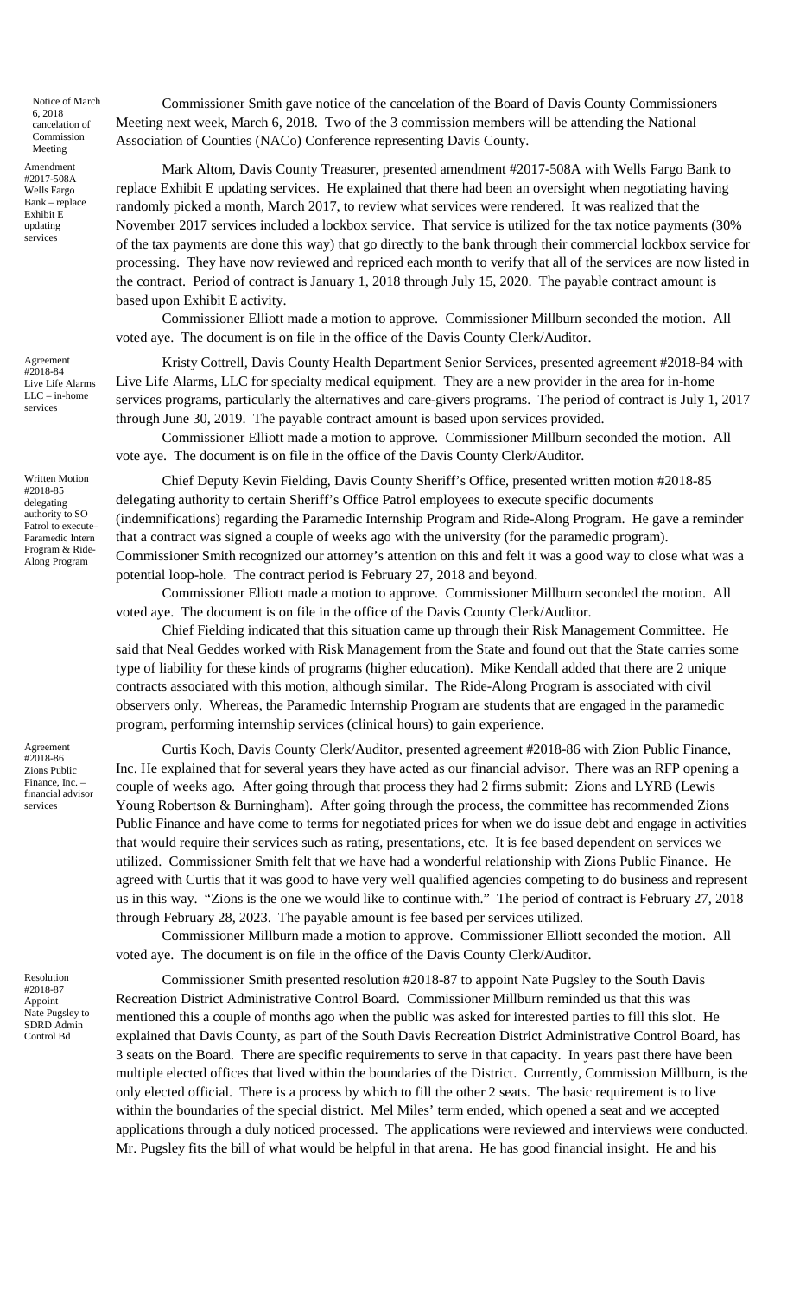Notice of March 6, 2018 cancelation of Commission Meeting

Amendment #2017-508A Wells Fargo Bank – replace Exhibit E updating services

Agreement #2018-84 Live Life Alarms  $LLC - in$ -home services

Written Motion #2018-85 delegating authority to SO Patrol to execute-Paramedic Intern Program & Ride-Along Program

Agreement #2018-86 Zions Public Finance, Inc. – financial advisor services

Resolution #2018-87 Appoint Nate Pugsley to SDRD Admin Control Bd

Commissioner Smith gave notice of the cancelation of the Board of Davis County Commissioners Meeting next week, March 6, 2018. Two of the 3 commission members will be attending the National Association of Counties (NACo) Conference representing Davis County.

Mark Altom, Davis County Treasurer, presented amendment #2017-508A with Wells Fargo Bank to replace Exhibit E updating services. He explained that there had been an oversight when negotiating having randomly picked a month, March 2017, to review what services were rendered. It was realized that the November 2017 services included a lockbox service. That service is utilized for the tax notice payments (30% of the tax payments are done this way) that go directly to the bank through their commercial lockbox service for processing. They have now reviewed and repriced each month to verify that all of the services are now listed in the contract. Period of contract is January 1, 2018 through July 15, 2020. The payable contract amount is based upon Exhibit E activity.

Commissioner Elliott made a motion to approve. Commissioner Millburn seconded the motion. All voted aye. The document is on file in the office of the Davis County Clerk/Auditor.

Kristy Cottrell, Davis County Health Department Senior Services, presented agreement #2018-84 with Live Life Alarms, LLC for specialty medical equipment. They are a new provider in the area for in-home services programs, particularly the alternatives and care-givers programs. The period of contract is July 1, 2017 through June 30, 2019. The payable contract amount is based upon services provided.

Commissioner Elliott made a motion to approve. Commissioner Millburn seconded the motion. All vote aye. The document is on file in the office of the Davis County Clerk/Auditor.

Chief Deputy Kevin Fielding, Davis County Sheriff's Office, presented written motion #2018-85 delegating authority to certain Sheriff's Office Patrol employees to execute specific documents (indemnifications) regarding the Paramedic Internship Program and Ride-Along Program. He gave a reminder that a contract was signed a couple of weeks ago with the university (for the paramedic program). Commissioner Smith recognized our attorney's attention on this and felt it was a good way to close what was a potential loop-hole. The contract period is February 27, 2018 and beyond.

Commissioner Elliott made a motion to approve. Commissioner Millburn seconded the motion. All voted aye. The document is on file in the office of the Davis County Clerk/Auditor.

Chief Fielding indicated that this situation came up through their Risk Management Committee. He said that Neal Geddes worked with Risk Management from the State and found out that the State carries some type of liability for these kinds of programs (higher education). Mike Kendall added that there are 2 unique contracts associated with this motion, although similar. The Ride-Along Program is associated with civil observers only. Whereas, the Paramedic Internship Program are students that are engaged in the paramedic program, performing internship services (clinical hours) to gain experience.

Curtis Koch, Davis County Clerk/Auditor, presented agreement #2018-86 with Zion Public Finance, Inc. He explained that for several years they have acted as our financial advisor. There was an RFP opening a couple of weeks ago. After going through that process they had 2 firms submit: Zions and LYRB (Lewis Young Robertson & Burningham). After going through the process, the committee has recommended Zions Public Finance and have come to terms for negotiated prices for when we do issue debt and engage in activities that would require their services such as rating, presentations, etc. It is fee based dependent on services we utilized. Commissioner Smith felt that we have had a wonderful relationship with Zions Public Finance. He agreed with Curtis that it was good to have very well qualified agencies competing to do business and represent us in this way. "Zions is the one we would like to continue with." The period of contract is February 27, 2018 through February 28, 2023. The payable amount is fee based per services utilized.

Commissioner Millburn made a motion to approve. Commissioner Elliott seconded the motion. All voted aye. The document is on file in the office of the Davis County Clerk/Auditor.

Commissioner Smith presented resolution #2018-87 to appoint Nate Pugsley to the South Davis Recreation District Administrative Control Board. Commissioner Millburn reminded us that this was mentioned this a couple of months ago when the public was asked for interested parties to fill this slot. He explained that Davis County, as part of the South Davis Recreation District Administrative Control Board, has 3 seats on the Board. There are specific requirements to serve in that capacity. In years past there have been multiple elected offices that lived within the boundaries of the District. Currently, Commission Millburn, is the only elected official. There is a process by which to fill the other 2 seats. The basic requirement is to live within the boundaries of the special district. Mel Miles' term ended, which opened a seat and we accepted applications through a duly noticed processed. The applications were reviewed and interviews were conducted. Mr. Pugsley fits the bill of what would be helpful in that arena. He has good financial insight. He and his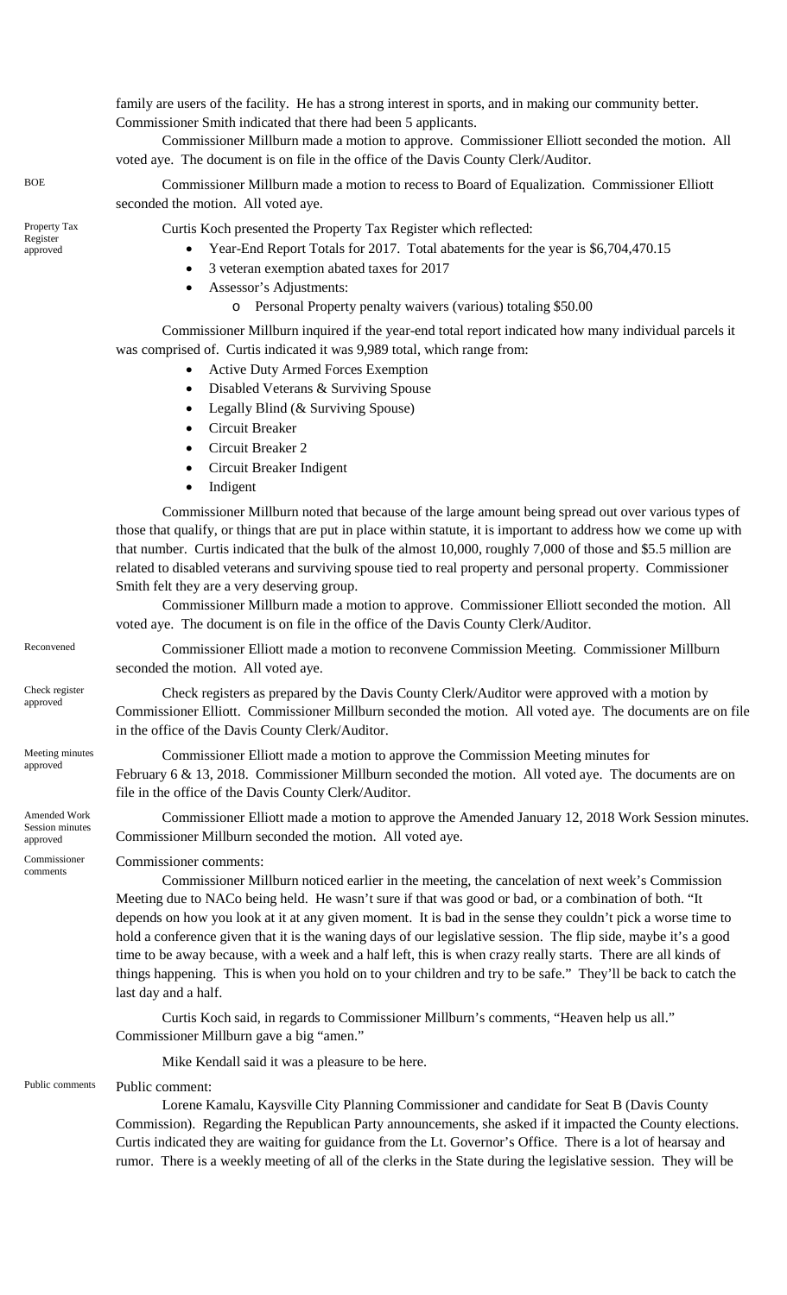family are users of the facility. He has a strong interest in sports, and in making our community better. Commissioner Smith indicated that there had been 5 applicants.

Commissioner Millburn made a motion to approve. Commissioner Elliott seconded the motion. All voted aye. The document is on file in the office of the Davis County Clerk/Auditor.

BOE Commissioner Millburn made a motion to recess to Board of Equalization. Commissioner Elliott seconded the motion. All voted aye.

Curtis Koch presented the Property Tax Register which reflected:

- Year-End Report Totals for 2017. Total abatements for the year is \$6,704,470.15
- 3 veteran exemption abated taxes for 2017
- Assessor's Adjustments:
	- o Personal Property penalty waivers (various) totaling \$50.00

Commissioner Millburn inquired if the year-end total report indicated how many individual parcels it was comprised of. Curtis indicated it was 9,989 total, which range from:

- Active Duty Armed Forces Exemption
- Disabled Veterans & Surviving Spouse
- Legally Blind (& Surviving Spouse)
- Circuit Breaker
- Circuit Breaker 2
- Circuit Breaker Indigent
- **Indigent**

Commissioner Millburn noted that because of the large amount being spread out over various types of those that qualify, or things that are put in place within statute, it is important to address how we come up with that number. Curtis indicated that the bulk of the almost 10,000, roughly 7,000 of those and \$5.5 million are related to disabled veterans and surviving spouse tied to real property and personal property. Commissioner Smith felt they are a very deserving group.

Commissioner Millburn made a motion to approve. Commissioner Elliott seconded the motion. All voted aye. The document is on file in the office of the Davis County Clerk/Auditor.

Reconvened Commissioner Elliott made a motion to reconvene Commission Meeting. Commissioner Millburn seconded the motion. All voted aye.

Check registers Check registers as prepared by the Davis County Clerk/Auditor were approved with a motion by approved Commissioner Elliott. Commissioner Millburn seconded the motion. All voted aye. The documents are on file in the office of the Davis County Clerk/Auditor.

> Commissioner Elliott made a motion to approve the Commission Meeting minutes for February 6 & 13, 2018. Commissioner Millburn seconded the motion. All voted aye. The documents are on file in the office of the Davis County Clerk/Auditor.

Commissioner Elliott made a motion to approve the Amended January 12, 2018 Work Session minutes. Commissioner Millburn seconded the motion. All voted aye.

Commissioner comments:

Commissioner Millburn noticed earlier in the meeting, the cancelation of next week's Commission Meeting due to NACo being held. He wasn't sure if that was good or bad, or a combination of both. "It depends on how you look at it at any given moment. It is bad in the sense they couldn't pick a worse time to hold a conference given that it is the waning days of our legislative session. The flip side, maybe it's a good time to be away because, with a week and a half left, this is when crazy really starts. There are all kinds of things happening. This is when you hold on to your children and try to be safe." They'll be back to catch the last day and a half.

Curtis Koch said, in regards to Commissioner Millburn's comments, "Heaven help us all." Commissioner Millburn gave a big "amen."

Mike Kendall said it was a pleasure to be here.

Public comments Public comment:

Lorene Kamalu, Kaysville City Planning Commissioner and candidate for Seat B (Davis County Commission). Regarding the Republican Party announcements, she asked if it impacted the County elections. Curtis indicated they are waiting for guidance from the Lt. Governor's Office. There is a lot of hearsay and rumor. There is a weekly meeting of all of the clerks in the State during the legislative session. They will be

Property Tax Register approved

Check register

Meeting minutes

Amended Work Session minutes approved

Commissioner comments